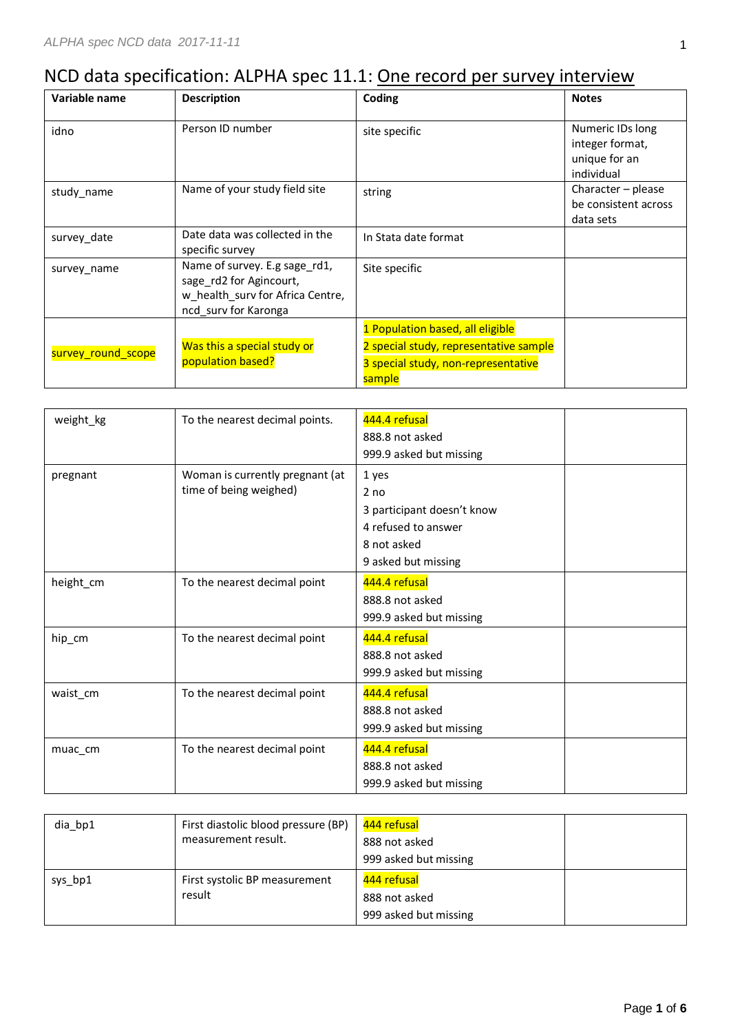## NCD data specification: ALPHA spec 11.1: One record per survey interview

| Variable name      | <b>Description</b>                                                                                                   | Coding                                                                                  | <b>Notes</b>                                                       |
|--------------------|----------------------------------------------------------------------------------------------------------------------|-----------------------------------------------------------------------------------------|--------------------------------------------------------------------|
| idno               | Person ID number                                                                                                     | site specific                                                                           | Numeric IDs long<br>integer format,<br>unique for an<br>individual |
| study_name         | Name of your study field site                                                                                        | string                                                                                  | Character - please<br>be consistent across<br>data sets            |
| survey date        | Date data was collected in the<br>specific survey                                                                    | In Stata date format                                                                    |                                                                    |
| survey name        | Name of survey. E.g sage_rd1,<br>sage rd2 for Agincourt,<br>w_health_surv for Africa Centre,<br>ncd surv for Karonga | Site specific                                                                           |                                                                    |
|                    |                                                                                                                      | 1 Population based, all eligible                                                        |                                                                    |
| survey_round_scope | Was this a special study or<br>population based?                                                                     | 2 special study, representative sample<br>3 special study, non-representative<br>sample |                                                                    |

| weight_kg | To the nearest decimal points.  | 444.4 refusal              |  |
|-----------|---------------------------------|----------------------------|--|
|           |                                 | 888.8 not asked            |  |
|           |                                 | 999.9 asked but missing    |  |
| pregnant  | Woman is currently pregnant (at | 1 yes                      |  |
|           | time of being weighed)          | 2 <sub>no</sub>            |  |
|           |                                 | 3 participant doesn't know |  |
|           |                                 | 4 refused to answer        |  |
|           |                                 | 8 not asked                |  |
|           |                                 | 9 asked but missing        |  |
| height_cm | To the nearest decimal point    | 444.4 refusal              |  |
|           |                                 | 888.8 not asked            |  |
|           |                                 | 999.9 asked but missing    |  |
| hip_cm    | To the nearest decimal point    | 444.4 refusal              |  |
|           |                                 | 888.8 not asked            |  |
|           |                                 | 999.9 asked but missing    |  |
| waist_cm  | To the nearest decimal point    | 444.4 refusal              |  |
|           |                                 | 888.8 not asked            |  |
|           |                                 | 999.9 asked but missing    |  |
| muac_cm   | To the nearest decimal point    | 444.4 refusal              |  |
|           |                                 | 888.8 not asked            |  |
|           |                                 | 999.9 asked but missing    |  |

| dia bp1 | First diastolic blood pressure (BP)<br>measurement result. | 444 refusal<br>888 not asked<br>999 asked but missing |  |
|---------|------------------------------------------------------------|-------------------------------------------------------|--|
| sys bp1 | First systolic BP measurement<br>result                    | 444 refusal<br>888 not asked<br>999 asked but missing |  |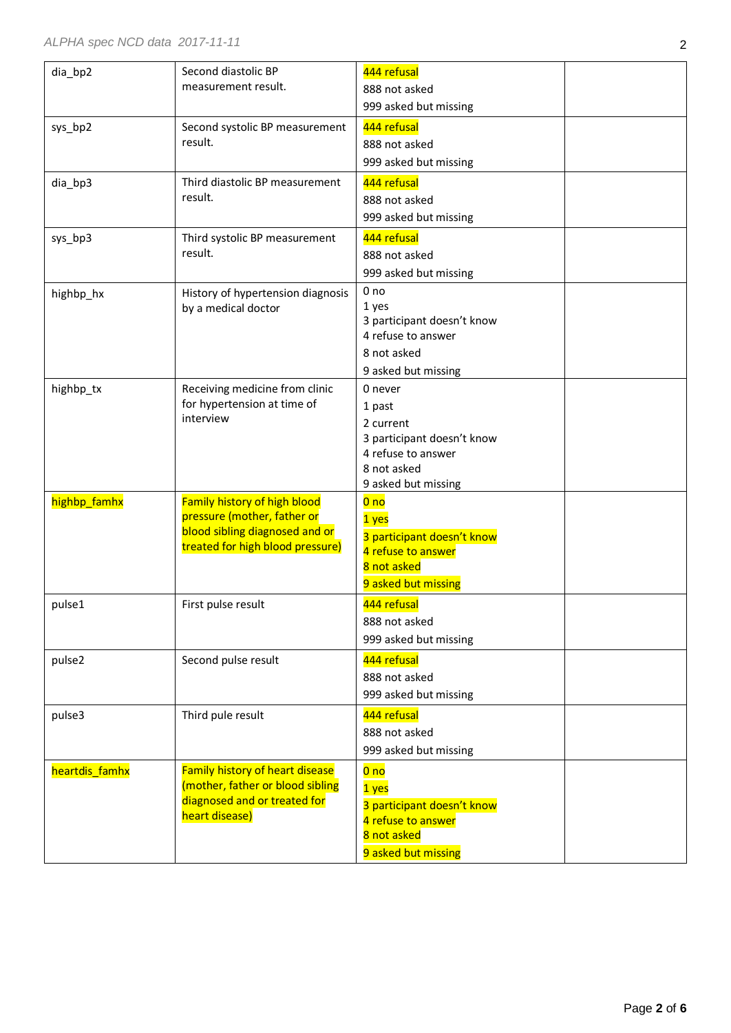| dia_bp2        | Second diastolic BP<br>measurement result.                                                                                        | 444 refusal<br>888 not asked<br>999 asked but missing                                                                    |  |
|----------------|-----------------------------------------------------------------------------------------------------------------------------------|--------------------------------------------------------------------------------------------------------------------------|--|
| sys_bp2        | Second systolic BP measurement<br>result.                                                                                         | 444 refusal<br>888 not asked<br>999 asked but missing                                                                    |  |
| dia_bp3        | Third diastolic BP measurement<br>result.                                                                                         | 444 refusal<br>888 not asked<br>999 asked but missing                                                                    |  |
| sys_bp3        | Third systolic BP measurement<br>result.                                                                                          | 444 refusal<br>888 not asked<br>999 asked but missing                                                                    |  |
| highbp_hx      | History of hypertension diagnosis<br>by a medical doctor                                                                          | 0 <sub>no</sub><br>1 yes<br>3 participant doesn't know<br>4 refuse to answer<br>8 not asked<br>9 asked but missing       |  |
| highbp_tx      | Receiving medicine from clinic<br>for hypertension at time of<br>interview                                                        | 0 never<br>1 past<br>2 current<br>3 participant doesn't know<br>4 refuse to answer<br>8 not asked<br>9 asked but missing |  |
| highbp_famhx   | Family history of high blood<br>pressure (mother, father or<br>blood sibling diagnosed and or<br>treated for high blood pressure) | 0 <sub>no</sub><br>1 yes<br>3 participant doesn't know<br>4 refuse to answer<br>8 not asked<br>9 asked but missing       |  |
| pulse1         | First pulse result                                                                                                                | 444 refusal<br>888 not asked<br>999 asked but missing                                                                    |  |
| pulse2         | Second pulse result                                                                                                               | 444 refusal<br>888 not asked<br>999 asked but missing                                                                    |  |
| pulse3         | Third pule result                                                                                                                 | 444 refusal<br>888 not asked<br>999 asked but missing                                                                    |  |
| heartdis famhx | <b>Family history of heart disease</b><br>(mother, father or blood sibling<br>diagnosed and or treated for<br>heart disease)      | 0 <sub>no</sub><br>1 yes<br>3 participant doesn't know<br>4 refuse to answer<br>8 not asked<br>9 asked but missing       |  |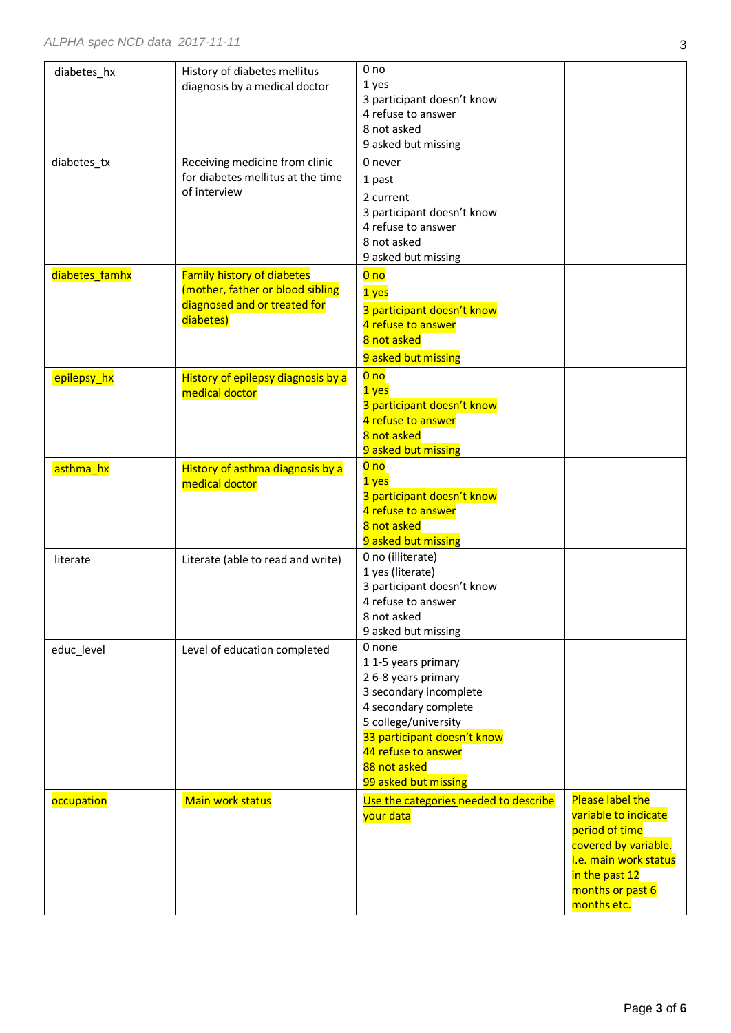| diabetes_hx    | History of diabetes mellitus<br>diagnosis by a medical doctor                                                      | 0 no<br>1 yes<br>3 participant doesn't know<br>4 refuse to answer<br>8 not asked<br>9 asked but missing                                                                                                                     |                                                                                                                                                                  |
|----------------|--------------------------------------------------------------------------------------------------------------------|-----------------------------------------------------------------------------------------------------------------------------------------------------------------------------------------------------------------------------|------------------------------------------------------------------------------------------------------------------------------------------------------------------|
| diabetes_tx    | Receiving medicine from clinic<br>for diabetes mellitus at the time<br>of interview                                | 0 never<br>1 past<br>2 current<br>3 participant doesn't know<br>4 refuse to answer<br>8 not asked<br>9 asked but missing                                                                                                    |                                                                                                                                                                  |
| diabetes_famhx | <b>Family history of diabetes</b><br>(mother, father or blood sibling<br>diagnosed and or treated for<br>diabetes) | 0 <sub>no</sub><br>1 yes<br>3 participant doesn't know<br>4 refuse to answer<br>8 not asked<br>9 asked but missing                                                                                                          |                                                                                                                                                                  |
| epilepsy_hx    | History of epilepsy diagnosis by a<br>medical doctor                                                               | 0 <sub>no</sub><br>1 yes<br>3 participant doesn't know<br>4 refuse to answer<br>8 not asked<br>9 asked but missing                                                                                                          |                                                                                                                                                                  |
| asthma_hx      | History of asthma diagnosis by a<br>medical doctor                                                                 | 0 <sub>no</sub><br>1 yes<br>3 participant doesn't know<br>4 refuse to answer<br>8 not asked<br>9 asked but missing                                                                                                          |                                                                                                                                                                  |
| literate       | Literate (able to read and write)                                                                                  | 0 no (illiterate)<br>1 yes (literate)<br>3 participant doesn't know<br>4 refuse to answer<br>8 not asked<br>9 asked but missing                                                                                             |                                                                                                                                                                  |
| educ_level     | Level of education completed                                                                                       | 0 none<br>11-5 years primary<br>2 6-8 years primary<br>3 secondary incomplete<br>4 secondary complete<br>5 college/university<br>33 participant doesn't know<br>44 refuse to answer<br>88 not asked<br>99 asked but missing |                                                                                                                                                                  |
| occupation     | Main work status                                                                                                   | Use the categories needed to describe<br>your data                                                                                                                                                                          | Please label the<br>variable to indicate<br>period of time<br>covered by variable.<br>I.e. main work status<br>in the past 12<br>months or past 6<br>months etc. |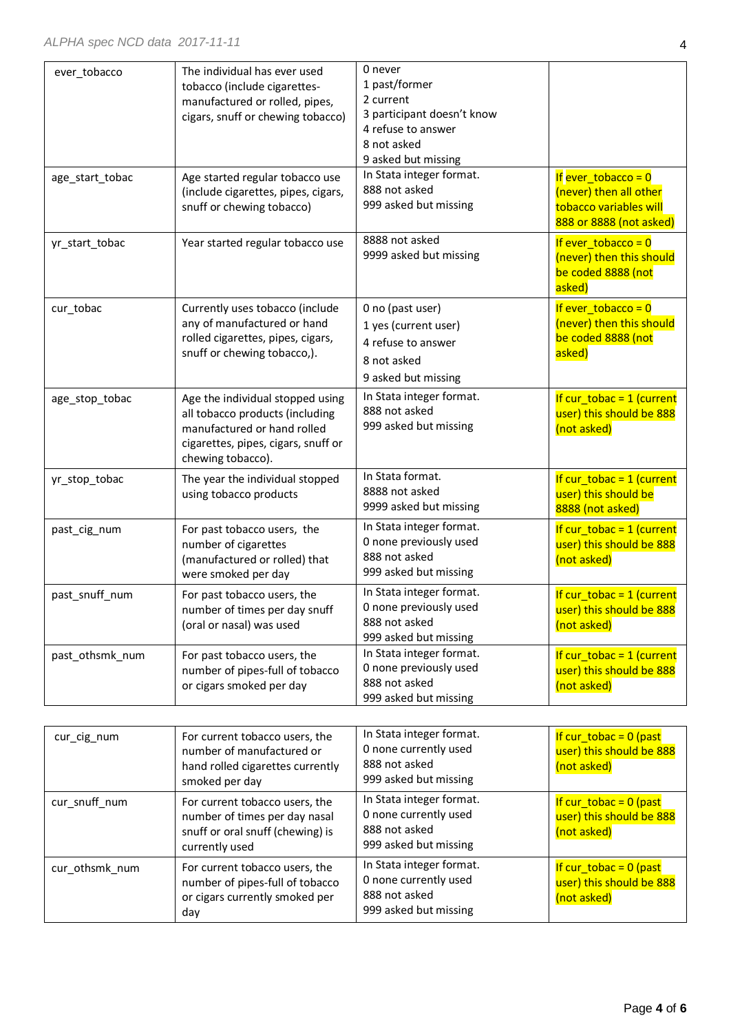| ever_tobacco    | The individual has ever used<br>tobacco (include cigarettes-<br>manufactured or rolled, pipes,<br>cigars, snuff or chewing tobacco)                            | 0 never<br>1 past/former<br>2 current<br>3 participant doesn't know<br>4 refuse to answer<br>8 not asked<br>9 asked but missing |                                                                                                      |
|-----------------|----------------------------------------------------------------------------------------------------------------------------------------------------------------|---------------------------------------------------------------------------------------------------------------------------------|------------------------------------------------------------------------------------------------------|
| age_start_tobac | Age started regular tobacco use<br>(include cigarettes, pipes, cigars,<br>snuff or chewing tobacco)                                                            | In Stata integer format.<br>888 not asked<br>999 asked but missing                                                              | If ever tobacco = $0$<br>(never) then all other<br>tobacco variables will<br>888 or 8888 (not asked) |
| yr_start_tobac  | Year started regular tobacco use                                                                                                                               | 8888 not asked<br>9999 asked but missing                                                                                        | If ever $\text{tobacco} = 0$<br>(never) then this should<br>be coded 8888 (not<br>asked)             |
| cur_tobac       | Currently uses tobacco (include<br>any of manufactured or hand<br>rolled cigarettes, pipes, cigars,<br>snuff or chewing tobacco,).                             | 0 no (past user)<br>1 yes (current user)<br>4 refuse to answer<br>8 not asked<br>9 asked but missing                            | If ever $\{tobacco = 0\}$<br>(never) then this should<br>be coded 8888 (not<br>asked)                |
| age_stop_tobac  | Age the individual stopped using<br>all tobacco products (including<br>manufactured or hand rolled<br>cigarettes, pipes, cigars, snuff or<br>chewing tobacco). | In Stata integer format.<br>888 not asked<br>999 asked but missing                                                              | If cur_tobac = $1$ (current<br>user) this should be 888<br>(not asked)                               |
| yr_stop_tobac   | The year the individual stopped<br>using tobacco products                                                                                                      | In Stata format.<br>8888 not asked<br>9999 asked but missing                                                                    | If cur_tobac = $1$ (current<br>user) this should be<br>8888 (not asked)                              |
| past_cig_num    | For past tobacco users, the<br>number of cigarettes<br>(manufactured or rolled) that<br>were smoked per day                                                    | In Stata integer format.<br>0 none previously used<br>888 not asked<br>999 asked but missing                                    | If $cur\_tbbac = 1$ (current<br>user) this should be 888<br>(not asked)                              |
| past_snuff_num  | For past tobacco users, the<br>number of times per day snuff<br>(oral or nasal) was used                                                                       | In Stata integer format.<br>0 none previously used<br>888 not asked<br>999 asked but missing                                    | If cur tobac = $1$ (current<br>user) this should be 888<br>(not asked)                               |
| past othsmk num | For past tobacco users, the<br>number of pipes-full of tobacco<br>or cigars smoked per day                                                                     | In Stata integer format.<br>0 none previously used<br>888 not asked<br>999 asked but missing                                    | If $cur\_tbbac = 1$ (current<br>user) this should be 888<br>(not asked)                              |

| cur_cig_num    | For current tobacco users, the<br>number of manufactured or<br>hand rolled cigarettes currently<br>smoked per day     | In Stata integer format.<br>0 none currently used<br>888 not asked<br>999 asked but missing | If cur tobac = $0$ (past<br>user) this should be 888<br>(not asked)  |
|----------------|-----------------------------------------------------------------------------------------------------------------------|---------------------------------------------------------------------------------------------|----------------------------------------------------------------------|
| cur_snuff_num  | For current tobacco users, the<br>number of times per day nasal<br>snuff or oral snuff (chewing) is<br>currently used | In Stata integer format.<br>0 none currently used<br>888 not asked<br>999 asked but missing | If $cur\_tbbac = 0$ (past<br>user) this should be 888<br>(not asked) |
| cur_othsmk_num | For current tobacco users, the<br>number of pipes-full of tobacco<br>or cigars currently smoked per<br>day            | In Stata integer format.<br>0 none currently used<br>888 not asked<br>999 asked but missing | If cur tobac = $0$ (past<br>user) this should be 888<br>(not asked)  |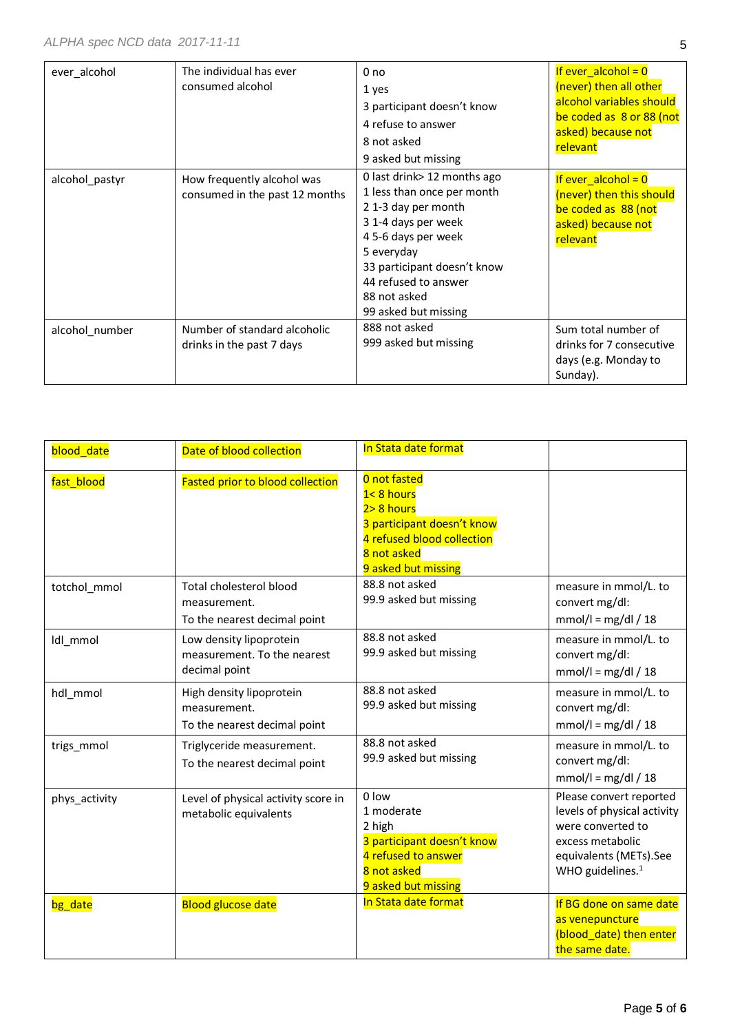| ever alcohol   | The individual has ever<br>consumed alcohol                  | 0 <sub>no</sub><br>1 yes<br>3 participant doesn't know<br>4 refuse to answer<br>8 not asked<br>9 asked but missing                                                                                                                         | If ever $alcohol = 0$<br>(never) then all other<br>alcohol variables should<br>be coded as 8 or 88 (not<br>asked) because not<br>relevant |
|----------------|--------------------------------------------------------------|--------------------------------------------------------------------------------------------------------------------------------------------------------------------------------------------------------------------------------------------|-------------------------------------------------------------------------------------------------------------------------------------------|
| alcohol_pastyr | How frequently alcohol was<br>consumed in the past 12 months | 0 last drink> 12 months ago<br>1 less than once per month<br>21-3 day per month<br>3 1-4 days per week<br>4 5-6 days per week<br>5 everyday<br>33 participant doesn't know<br>44 refused to answer<br>88 not asked<br>99 asked but missing | If ever_alcohol = $0$<br>(never) then this should<br>be coded as 88 (not<br>asked) because not<br>relevant                                |
| alcohol_number | Number of standard alcoholic<br>drinks in the past 7 days    | 888 not asked<br>999 asked but missing                                                                                                                                                                                                     | Sum total number of<br>drinks for 7 consecutive<br>days (e.g. Monday to<br>Sunday).                                                       |

| blood date    | Date of blood collection                                                 | In Stata date format                                                                                                                         |                                                                                                                                                           |
|---------------|--------------------------------------------------------------------------|----------------------------------------------------------------------------------------------------------------------------------------------|-----------------------------------------------------------------------------------------------------------------------------------------------------------|
| fast blood    | <b>Fasted prior to blood collection</b>                                  | 0 not fasted<br>1<8 hours<br>$2 > 8$ hours<br>3 participant doesn't know<br>4 refused blood collection<br>8 not asked<br>9 asked but missing |                                                                                                                                                           |
| totchol_mmol  | Total cholesterol blood<br>measurement.<br>To the nearest decimal point  | 88.8 not asked<br>99.9 asked but missing                                                                                                     | measure in mmol/L. to<br>convert mg/dl:<br>$mmol/I = mg/dI / 18$                                                                                          |
| Idl mmol      | Low density lipoprotein<br>measurement. To the nearest<br>decimal point  | 88.8 not asked<br>99.9 asked but missing                                                                                                     | measure in mmol/L. to<br>convert mg/dl:<br>$mmol/I = mg/dI / 18$                                                                                          |
| hdl mmol      | High density lipoprotein<br>measurement.<br>To the nearest decimal point | 88.8 not asked<br>99.9 asked but missing                                                                                                     | measure in mmol/L. to<br>convert mg/dl:<br>$mmol/I = mg/dI / 18$                                                                                          |
| trigs_mmol    | Triglyceride measurement.<br>To the nearest decimal point                | 88.8 not asked<br>99.9 asked but missing                                                                                                     | measure in mmol/L. to<br>convert mg/dl:<br>$mmol/l = mg/dl / 18$                                                                                          |
| phys_activity | Level of physical activity score in<br>metabolic equivalents             | 0 low<br>1 moderate<br>2 high<br>3 participant doesn't know<br>4 refused to answer<br>8 not asked<br>9 asked but missing                     | Please convert reported<br>levels of physical activity<br>were converted to<br>excess metabolic<br>equivalents (METs).See<br>WHO guidelines. <sup>1</sup> |
| bg_date       | <b>Blood glucose date</b>                                                | In Stata date format                                                                                                                         | If BG done on same date<br>as venepuncture<br>(blood_date) then enter<br>the same date.                                                                   |